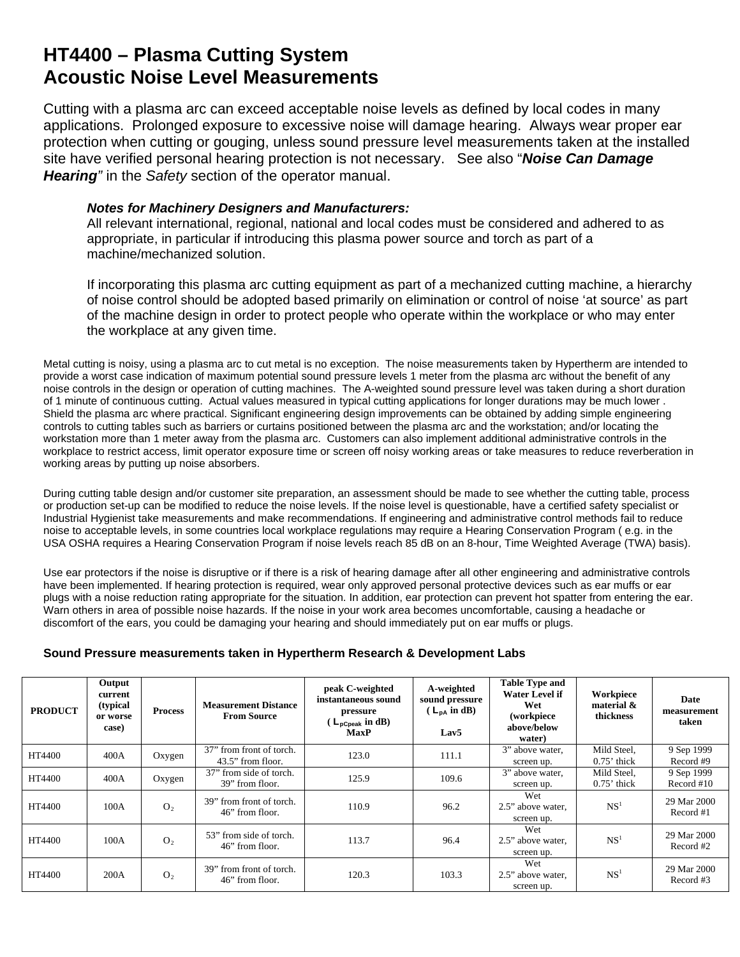## **HT4400 – Plasma Cutting System Acoustic Noise Level Measurements**

Cutting with a plasma arc can exceed acceptable noise levels as defined by local codes in many applications. Prolonged exposure to excessive noise will damage hearing. Always wear proper ear protection when cutting or gouging, unless sound pressure level measurements taken at the installed site have verified personal hearing protection is not necessary. See also "*Noise Can Damage Hearing"* in the *Safety* section of the operator manual.

## *Notes for Machinery Designers and Manufacturers:*

All relevant international, regional, national and local codes must be considered and adhered to as appropriate, in particular if introducing this plasma power source and torch as part of a machine/mechanized solution.

If incorporating this plasma arc cutting equipment as part of a mechanized cutting machine, a hierarchy of noise control should be adopted based primarily on elimination or control of noise 'at source' as part of the machine design in order to protect people who operate within the workplace or who may enter the workplace at any given time.

Metal cutting is noisy, using a plasma arc to cut metal is no exception. The noise measurements taken by Hypertherm are intended to provide a worst case indication of maximum potential sound pressure levels 1 meter from the plasma arc without the benefit of any noise controls in the design or operation of cutting machines. The A-weighted sound pressure level was taken during a short duration of 1 minute of continuous cutting. Actual values measured in typical cutting applications for longer durations may be much lower . Shield the plasma arc where practical. Significant engineering design improvements can be obtained by adding simple engineering controls to cutting tables such as barriers or curtains positioned between the plasma arc and the workstation; and/or locating the workstation more than 1 meter away from the plasma arc. Customers can also implement additional administrative controls in the workplace to restrict access, limit operator exposure time or screen off noisy working areas or take measures to reduce reverberation in working areas by putting up noise absorbers.

During cutting table design and/or customer site preparation, an assessment should be made to see whether the cutting table, process or production set-up can be modified to reduce the noise levels. If the noise level is questionable, have a certified safety specialist or Industrial Hygienist take measurements and make recommendations. If engineering and administrative control methods fail to reduce noise to acceptable levels, in some countries local workplace regulations may require a Hearing Conservation Program ( e.g. in the USA OSHA requires a Hearing Conservation Program if noise levels reach 85 dB on an 8-hour, Time Weighted Average (TWA) basis).

Use ear protectors if the noise is disruptive or if there is a risk of hearing damage after all other engineering and administrative controls have been implemented. If hearing protection is required, wear only approved personal protective devices such as ear muffs or ear plugs with a noise reduction rating appropriate for the situation. In addition, ear protection can prevent hot spatter from entering the ear. Warn others in area of possible noise hazards. If the noise in your work area becomes uncomfortable, causing a headache or discomfort of the ears, you could be damaging your hearing and should immediately put on ear muffs or plugs.

## **Sound Pressure measurements taken in Hypertherm Research & Development Labs**

| <b>PRODUCT</b> | Output<br>current<br>(typical)<br>or worse<br>case) | <b>Process</b> | <b>Measurement Distance</b><br><b>From Source</b> | peak C-weighted<br>instantaneous sound<br>pressure<br>$(L_{\text{pCpeak}} \text{ in dB})$<br><b>MaxP</b> | A-weighted<br>sound pressure<br>$(L_{DA}$ in dB)<br>Lav5 | <b>Table Type and</b><br><b>Water Level if</b><br>Wet<br>(workpiece<br>above/below<br>water) | Workpiece<br>material $\&$<br>thickness | Date<br>measurement<br>taken |
|----------------|-----------------------------------------------------|----------------|---------------------------------------------------|----------------------------------------------------------------------------------------------------------|----------------------------------------------------------|----------------------------------------------------------------------------------------------|-----------------------------------------|------------------------------|
| HT4400         | 400A                                                | Oxygen         | 37" from front of torch.<br>43.5" from floor.     | 123.0                                                                                                    | 111.1                                                    | 3" above water,<br>screen up.                                                                | Mild Steel,<br>$0.75$ thick             | 9 Sep 1999<br>Record #9      |
| HT4400         | 400A                                                | Oxygen         | 37" from side of torch.<br>39" from floor.        | 125.9                                                                                                    | 109.6                                                    | 3" above water,<br>screen up.                                                                | Mild Steel.<br>$0.75$ ' thick           | 9 Sep 1999<br>Record $#10$   |
| HT4400         | 100A                                                | O <sub>2</sub> | 39" from front of torch.<br>46" from floor.       | 110.9                                                                                                    | 96.2                                                     | Wet<br>2.5" above water,<br>screen up.                                                       | NS <sup>1</sup>                         | 29 Mar 2000<br>Record #1     |
| HT4400         | 100A                                                | O <sub>2</sub> | 53" from side of torch.<br>46" from floor.        | 113.7                                                                                                    | 96.4                                                     | Wet<br>2.5" above water,<br>screen up.                                                       | NS <sup>1</sup>                         | 29 Mar 2000<br>Record #2     |
| HT4400         | 200A                                                | O <sub>2</sub> | 39" from front of torch.<br>46" from floor.       | 120.3                                                                                                    | 103.3                                                    | Wet<br>2.5" above water,<br>screen up.                                                       | NS <sup>1</sup>                         | 29 Mar 2000<br>Record #3     |